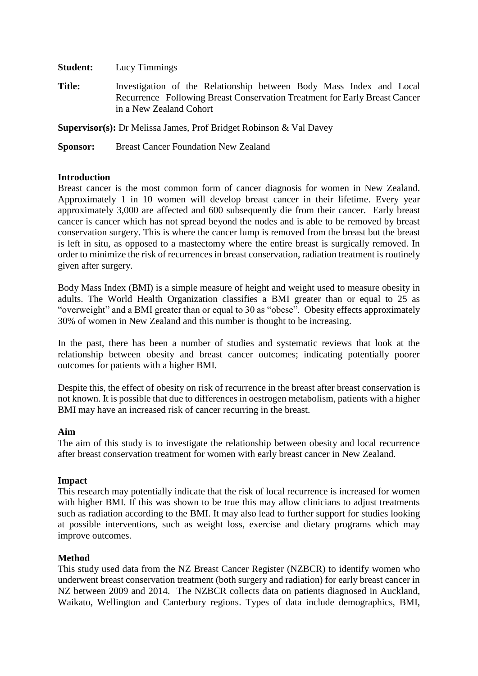**Student:** Lucy Timmings

**Title:** Investigation of the Relationship between Body Mass Index and Local Recurrence Following Breast Conservation Treatment for Early Breast Cancer in a New Zealand Cohort

**Supervisor(s):** Dr Melissa James, Prof Bridget Robinson & Val Davey

**Sponsor:** Breast Cancer Foundation New Zealand

# **Introduction**

Breast cancer is the most common form of cancer diagnosis for women in New Zealand. Approximately 1 in 10 women will develop breast cancer in their lifetime. Every year approximately 3,000 are affected and 600 subsequently die from their cancer. Early breast cancer is cancer which has not spread beyond the nodes and is able to be removed by breast conservation surgery. This is where the cancer lump is removed from the breast but the breast is left in situ, as opposed to a mastectomy where the entire breast is surgically removed. In order to minimize the risk of recurrences in breast conservation, radiation treatment is routinely given after surgery.

Body Mass Index (BMI) is a simple measure of height and weight used to measure obesity in adults. The World Health Organization classifies a BMI greater than or equal to 25 as "overweight" and a BMI greater than or equal to 30 as "obese". Obesity effects approximately 30% of women in New Zealand and this number is thought to be increasing.

In the past, there has been a number of studies and systematic reviews that look at the relationship between obesity and breast cancer outcomes; indicating potentially poorer outcomes for patients with a higher BMI.

Despite this, the effect of obesity on risk of recurrence in the breast after breast conservation is not known. It is possible that due to differences in oestrogen metabolism, patients with a higher BMI may have an increased risk of cancer recurring in the breast.

## **Aim**

The aim of this study is to investigate the relationship between obesity and local recurrence after breast conservation treatment for women with early breast cancer in New Zealand.

## **Impact**

This research may potentially indicate that the risk of local recurrence is increased for women with higher BMI. If this was shown to be true this may allow clinicians to adjust treatments such as radiation according to the BMI. It may also lead to further support for studies looking at possible interventions, such as weight loss, exercise and dietary programs which may improve outcomes.

## **Method**

This study used data from the NZ Breast Cancer Register (NZBCR) to identify women who underwent breast conservation treatment (both surgery and radiation) for early breast cancer in NZ between 2009 and 2014. The NZBCR collects data on patients diagnosed in Auckland, Waikato, Wellington and Canterbury regions. Types of data include demographics, BMI,